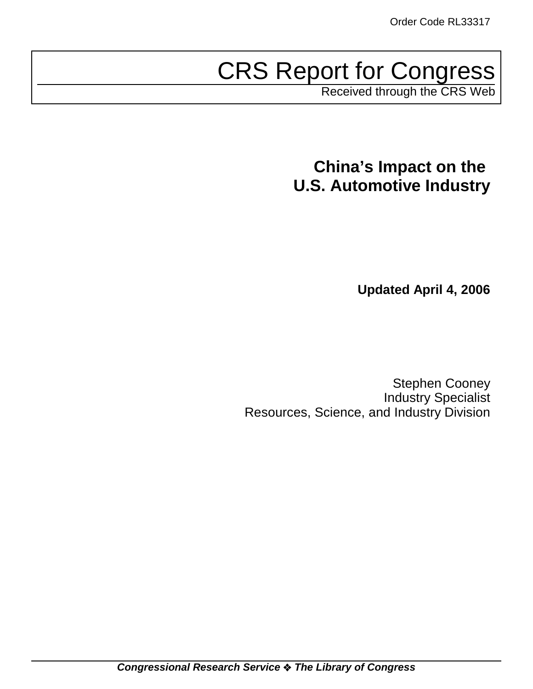# CRS Report for Congress

Received through the CRS Web

# **China's Impact on the U.S. Automotive Industry**

 **Updated April 4, 2006**

Stephen Cooney Industry Specialist Resources, Science, and Industry Division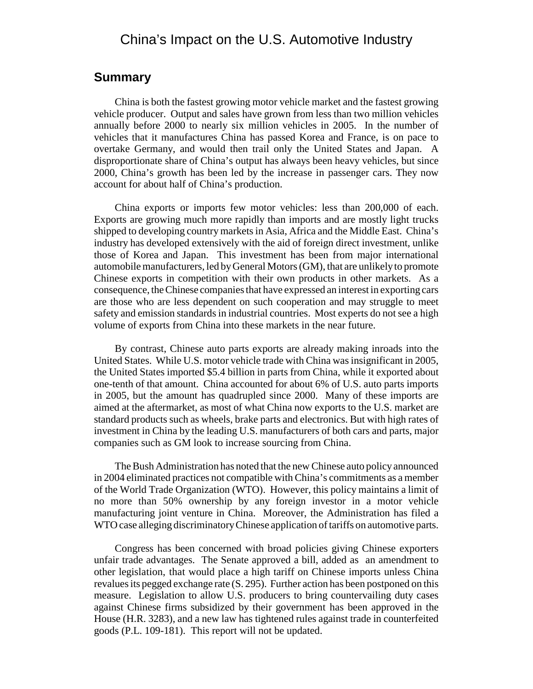# China's Impact on the U.S. Automotive Industry

#### **Summary**

China is both the fastest growing motor vehicle market and the fastest growing vehicle producer. Output and sales have grown from less than two million vehicles annually before 2000 to nearly six million vehicles in 2005. In the number of vehicles that it manufactures China has passed Korea and France, is on pace to overtake Germany, and would then trail only the United States and Japan. A disproportionate share of China's output has always been heavy vehicles, but since 2000, China's growth has been led by the increase in passenger cars. They now account for about half of China's production.

China exports or imports few motor vehicles: less than 200,000 of each. Exports are growing much more rapidly than imports and are mostly light trucks shipped to developing country markets in Asia, Africa and the Middle East. China's industry has developed extensively with the aid of foreign direct investment, unlike those of Korea and Japan. This investment has been from major international automobile manufacturers, led by General Motors (GM), that are unlikely to promote Chinese exports in competition with their own products in other markets. As a consequence, the Chinese companies that have expressed an interest in exporting cars are those who are less dependent on such cooperation and may struggle to meet safety and emission standards in industrial countries. Most experts do not see a high volume of exports from China into these markets in the near future.

By contrast, Chinese auto parts exports are already making inroads into the United States. While U.S. motor vehicle trade with China was insignificant in 2005, the United States imported \$5.4 billion in parts from China, while it exported about one-tenth of that amount. China accounted for about 6% of U.S. auto parts imports in 2005, but the amount has quadrupled since 2000. Many of these imports are aimed at the aftermarket, as most of what China now exports to the U.S. market are standard products such as wheels, brake parts and electronics. But with high rates of investment in China by the leading U.S. manufacturers of both cars and parts, major companies such as GM look to increase sourcing from China.

The Bush Administration has noted that the new Chinese auto policy announced in 2004 eliminated practices not compatible with China's commitments as a member of the World Trade Organization (WTO). However, this policy maintains a limit of no more than 50% ownership by any foreign investor in a motor vehicle manufacturing joint venture in China. Moreover, the Administration has filed a WTO case alleging discriminatory Chinese application of tariffs on automotive parts.

Congress has been concerned with broad policies giving Chinese exporters unfair trade advantages. The Senate approved a bill, added as an amendment to other legislation, that would place a high tariff on Chinese imports unless China revalues its pegged exchange rate (S. 295). Further action has been postponed on this measure. Legislation to allow U.S. producers to bring countervailing duty cases against Chinese firms subsidized by their government has been approved in the House (H.R. 3283), and a new law has tightened rules against trade in counterfeited goods (P.L. 109-181). This report will not be updated.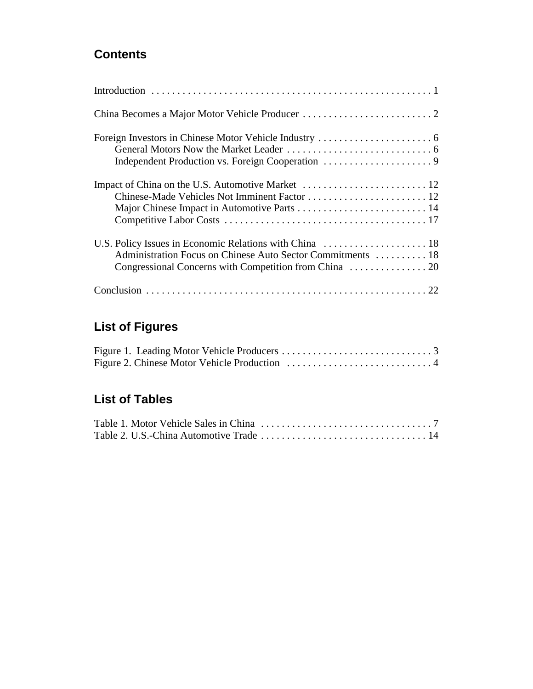# **Contents**

| Administration Focus on Chinese Auto Sector Commitments  18 |
|-------------------------------------------------------------|
|                                                             |

# **List of Figures**

# **List of Tables**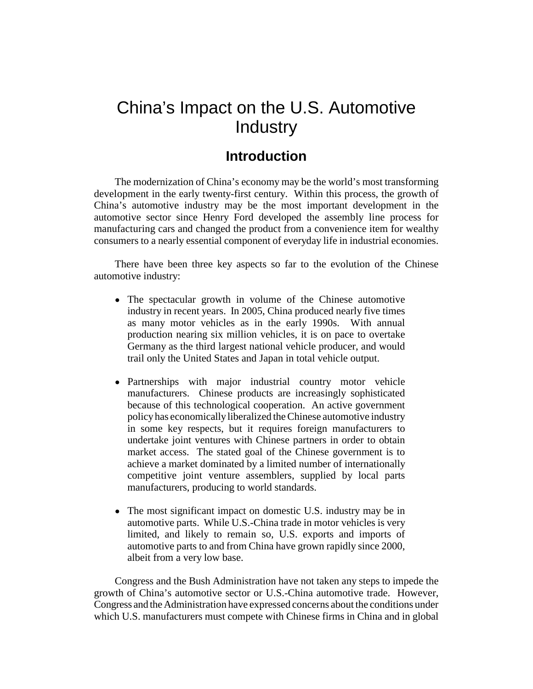# China's Impact on the U.S. Automotive **Industry**

# **Introduction**

The modernization of China's economy may be the world's most transforming development in the early twenty-first century. Within this process, the growth of China's automotive industry may be the most important development in the automotive sector since Henry Ford developed the assembly line process for manufacturing cars and changed the product from a convenience item for wealthy consumers to a nearly essential component of everyday life in industrial economies.

There have been three key aspects so far to the evolution of the Chinese automotive industry:

- The spectacular growth in volume of the Chinese automotive industry in recent years. In 2005, China produced nearly five times as many motor vehicles as in the early 1990s. With annual production nearing six million vehicles, it is on pace to overtake Germany as the third largest national vehicle producer, and would trail only the United States and Japan in total vehicle output.
- Partnerships with major industrial country motor vehicle manufacturers. Chinese products are increasingly sophisticated because of this technological cooperation. An active government policy has economically liberalized the Chinese automotive industry in some key respects, but it requires foreign manufacturers to undertake joint ventures with Chinese partners in order to obtain market access. The stated goal of the Chinese government is to achieve a market dominated by a limited number of internationally competitive joint venture assemblers, supplied by local parts manufacturers, producing to world standards.
- The most significant impact on domestic U.S. industry may be in automotive parts. While U.S.-China trade in motor vehicles is very limited, and likely to remain so, U.S. exports and imports of automotive parts to and from China have grown rapidly since 2000, albeit from a very low base.

Congress and the Bush Administration have not taken any steps to impede the growth of China's automotive sector or U.S.-China automotive trade. However, Congress and the Administration have expressed concerns about the conditions under which U.S. manufacturers must compete with Chinese firms in China and in global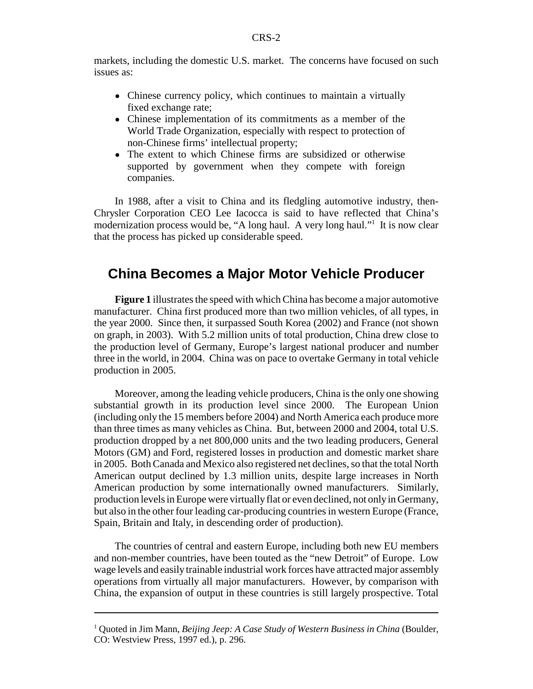markets, including the domestic U.S. market. The concerns have focused on such issues as:

- Chinese currency policy, which continues to maintain a virtually fixed exchange rate;
- Chinese implementation of its commitments as a member of the World Trade Organization, especially with respect to protection of non-Chinese firms' intellectual property;
- The extent to which Chinese firms are subsidized or otherwise supported by government when they compete with foreign companies.

In 1988, after a visit to China and its fledgling automotive industry, then-Chrysler Corporation CEO Lee Iacocca is said to have reflected that China's modernization process would be, "A long haul. A very long haul."<sup>1</sup> It is now clear that the process has picked up considerable speed.

# **China Becomes a Major Motor Vehicle Producer**

**Figure 1** illustrates the speed with which China has become a major automotive manufacturer. China first produced more than two million vehicles, of all types, in the year 2000. Since then, it surpassed South Korea (2002) and France (not shown on graph, in 2003). With 5.2 million units of total production, China drew close to the production level of Germany, Europe's largest national producer and number three in the world, in 2004. China was on pace to overtake Germany in total vehicle production in 2005.

Moreover, among the leading vehicle producers, China is the only one showing substantial growth in its production level since 2000. The European Union (including only the 15 members before 2004) and North America each produce more than three times as many vehicles as China. But, between 2000 and 2004, total U.S. production dropped by a net 800,000 units and the two leading producers, General Motors (GM) and Ford, registered losses in production and domestic market share in 2005. Both Canada and Mexico also registered net declines, so that the total North American output declined by 1.3 million units, despite large increases in North American production by some internationally owned manufacturers. Similarly, production levels in Europe were virtually flat or even declined, not only in Germany, but also in the other four leading car-producing countries in western Europe (France, Spain, Britain and Italy, in descending order of production).

The countries of central and eastern Europe, including both new EU members and non-member countries, have been touted as the "new Detroit" of Europe. Low wage levels and easily trainable industrial work forces have attracted major assembly operations from virtually all major manufacturers. However, by comparison with China, the expansion of output in these countries is still largely prospective. Total

<sup>&</sup>lt;sup>1</sup> Quoted in Jim Mann, *Beijing Jeep: A Case Study of Western Business in China* (Boulder, CO: Westview Press, 1997 ed.), p. 296.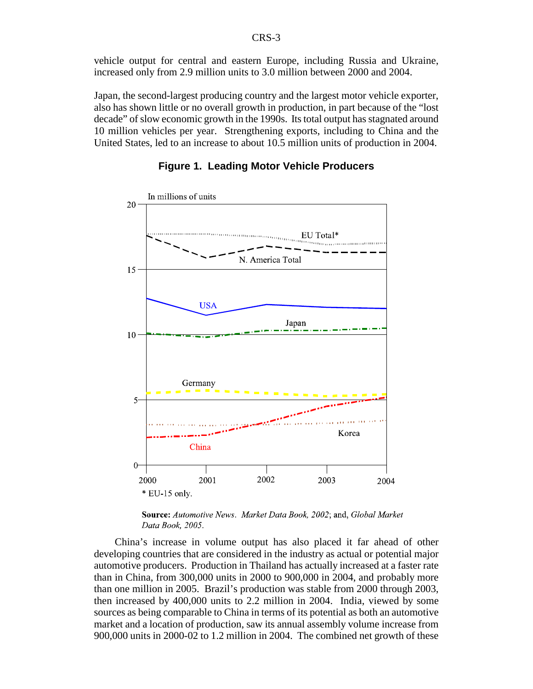vehicle output for central and eastern Europe, including Russia and Ukraine, increased only from 2.9 million units to 3.0 million between 2000 and 2004.

Japan, the second-largest producing country and the largest motor vehicle exporter, also has shown little or no overall growth in production, in part because of the "lost decade" of slow economic growth in the 1990s. Its total output has stagnated around 10 million vehicles per year. Strengthening exports, including to China and the United States, led to an increase to about 10.5 million units of production in 2004.





Source: Automotive News. Market Data Book, 2002; and, Global Market Data Book, 2005.

China's increase in volume output has also placed it far ahead of other developing countries that are considered in the industry as actual or potential major automotive producers. Production in Thailand has actually increased at a faster rate than in China, from 300,000 units in 2000 to 900,000 in 2004, and probably more than one million in 2005. Brazil's production was stable from 2000 through 2003, then increased by 400,000 units to 2.2 million in 2004. India, viewed by some sources as being comparable to China in terms of its potential as both an automotive market and a location of production, saw its annual assembly volume increase from 900,000 units in 2000-02 to 1.2 million in 2004. The combined net growth of these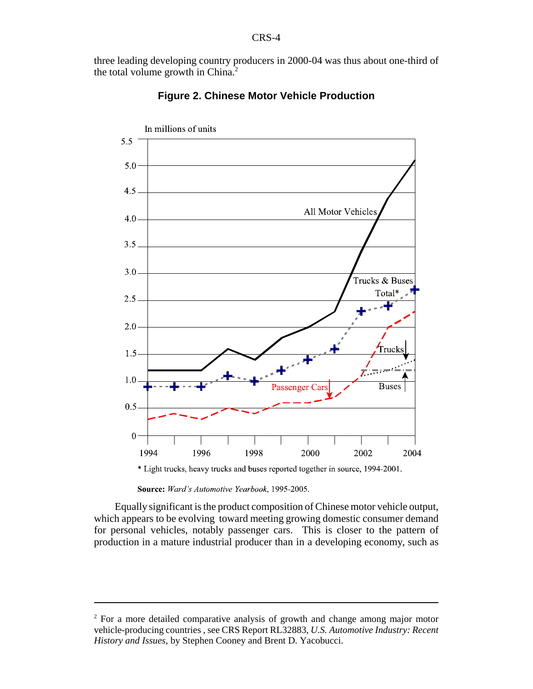three leading developing country producers in 2000-04 was thus about one-third of the total volume growth in China.<sup>2</sup>



#### **Figure 2. Chinese Motor Vehicle Production**

Source: Ward's Automotive Yearbook, 1995-2005.

Equally significant is the product composition of Chinese motor vehicle output, which appears to be evolving toward meeting growing domestic consumer demand for personal vehicles, notably passenger cars. This is closer to the pattern of production in a mature industrial producer than in a developing economy, such as

<sup>&</sup>lt;sup>2</sup> For a more detailed comparative analysis of growth and change among major motor vehicle-producing countries , see CRS Report RL32883, *U.S. Automotive Industry: Recent History and Issues*, by Stephen Cooney and Brent D. Yacobucci.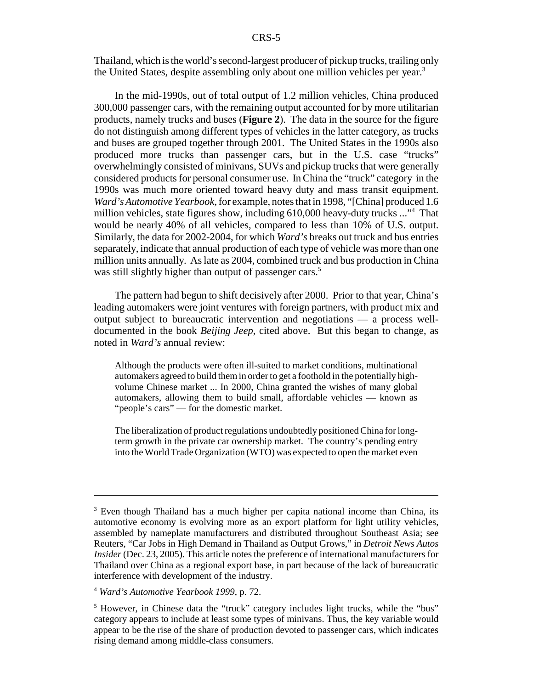Thailand, which is the world's second-largest producer of pickup trucks, trailing only the United States, despite assembling only about one million vehicles per year.<sup>3</sup>

In the mid-1990s, out of total output of 1.2 million vehicles, China produced 300,000 passenger cars, with the remaining output accounted for by more utilitarian products, namely trucks and buses (**Figure 2**). The data in the source for the figure do not distinguish among different types of vehicles in the latter category, as trucks and buses are grouped together through 2001. The United States in the 1990s also produced more trucks than passenger cars, but in the U.S. case "trucks" overwhelmingly consisted of minivans, SUVs and pickup trucks that were generally considered products for personal consumer use. In China the "truck" category in the 1990s was much more oriented toward heavy duty and mass transit equipment. *Ward's Automotive Yearbook*, for example, notes that in 1998, "[China] produced 1.6 million vehicles, state figures show, including 610,000 heavy-duty trucks ..."4 That would be nearly 40% of all vehicles, compared to less than 10% of U.S. output. Similarly, the data for 2002-2004, for which *Ward's* breaks out truck and bus entries separately, indicate that annual production of each type of vehicle was more than one million units annually. As late as 2004, combined truck and bus production in China was still slightly higher than output of passenger cars.<sup>5</sup>

The pattern had begun to shift decisively after 2000. Prior to that year, China's leading automakers were joint ventures with foreign partners, with product mix and output subject to bureaucratic intervention and negotiations — a process welldocumented in the book *Beijing Jeep*, cited above. But this began to change, as noted in *Ward's* annual review:

Although the products were often ill-suited to market conditions, multinational automakers agreed to build them in order to get a foothold in the potentially highvolume Chinese market ... In 2000, China granted the wishes of many global automakers, allowing them to build small, affordable vehicles — known as "people's cars" — for the domestic market.

The liberalization of product regulations undoubtedly positioned China for longterm growth in the private car ownership market. The country's pending entry into the World Trade Organization (WTO) was expected to open the market even

<sup>&</sup>lt;sup>3</sup> Even though Thailand has a much higher per capita national income than China, its automotive economy is evolving more as an export platform for light utility vehicles, assembled by nameplate manufacturers and distributed throughout Southeast Asia; see Reuters, "Car Jobs in High Demand in Thailand as Output Grows," in *Detroit News Autos Insider* (Dec. 23, 2005). This article notes the preference of international manufacturers for Thailand over China as a regional export base, in part because of the lack of bureaucratic interference with development of the industry.

<sup>4</sup> *Ward's Automotive Yearbook 1999*, p. 72.

<sup>&</sup>lt;sup>5</sup> However, in Chinese data the "truck" category includes light trucks, while the "bus" category appears to include at least some types of minivans. Thus, the key variable would appear to be the rise of the share of production devoted to passenger cars, which indicates rising demand among middle-class consumers.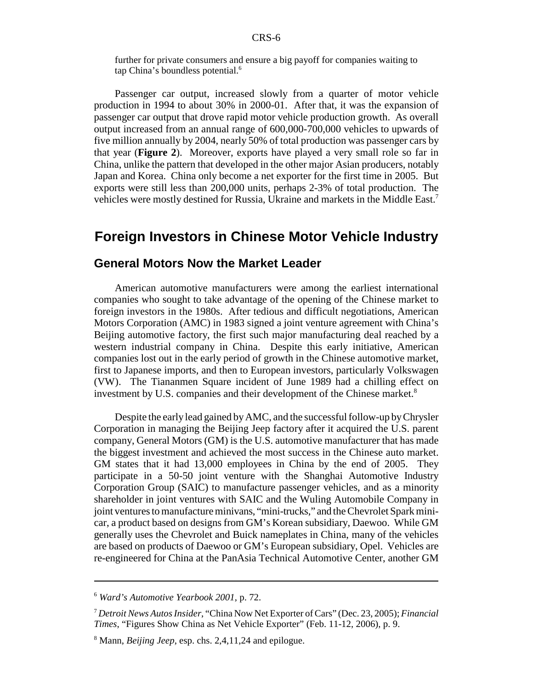further for private consumers and ensure a big payoff for companies waiting to tap China's boundless potential.<sup>6</sup>

Passenger car output, increased slowly from a quarter of motor vehicle production in 1994 to about 30% in 2000-01. After that, it was the expansion of passenger car output that drove rapid motor vehicle production growth. As overall output increased from an annual range of 600,000-700,000 vehicles to upwards of five million annually by 2004, nearly 50% of total production was passenger cars by that year (**Figure 2**). Moreover, exports have played a very small role so far in China, unlike the pattern that developed in the other major Asian producers, notably Japan and Korea. China only become a net exporter for the first time in 2005. But exports were still less than 200,000 units, perhaps 2-3% of total production. The vehicles were mostly destined for Russia, Ukraine and markets in the Middle East.7

# **Foreign Investors in Chinese Motor Vehicle Industry**

#### **General Motors Now the Market Leader**

American automotive manufacturers were among the earliest international companies who sought to take advantage of the opening of the Chinese market to foreign investors in the 1980s. After tedious and difficult negotiations, American Motors Corporation (AMC) in 1983 signed a joint venture agreement with China's Beijing automotive factory, the first such major manufacturing deal reached by a western industrial company in China. Despite this early initiative, American companies lost out in the early period of growth in the Chinese automotive market, first to Japanese imports, and then to European investors, particularly Volkswagen (VW). The Tiananmen Square incident of June 1989 had a chilling effect on investment by U.S. companies and their development of the Chinese market.<sup>8</sup>

Despite the early lead gained by AMC, and the successful follow-up by Chrysler Corporation in managing the Beijing Jeep factory after it acquired the U.S. parent company, General Motors (GM) is the U.S. automotive manufacturer that has made the biggest investment and achieved the most success in the Chinese auto market. GM states that it had 13,000 employees in China by the end of 2005. They participate in a 50-50 joint venture with the Shanghai Automotive Industry Corporation Group (SAIC) to manufacture passenger vehicles, and as a minority shareholder in joint ventures with SAIC and the Wuling Automobile Company in joint ventures to manufacture minivans, "mini-trucks," and the Chevrolet Spark minicar, a product based on designs from GM's Korean subsidiary, Daewoo. While GM generally uses the Chevrolet and Buick nameplates in China, many of the vehicles are based on products of Daewoo or GM's European subsidiary, Opel. Vehicles are re-engineered for China at the PanAsia Technical Automotive Center, another GM

<sup>6</sup> *Ward's Automotive Yearbook 2001*, p. 72.

<sup>7</sup> *Detroit News Autos Insider*, "China Now Net Exporter of Cars" (Dec. 23, 2005); *Financial Times*, "Figures Show China as Net Vehicle Exporter" (Feb. 11-12, 2006), p. 9.

<sup>8</sup> Mann, *Beijing Jeep*, esp. chs. 2,4,11,24 and epilogue.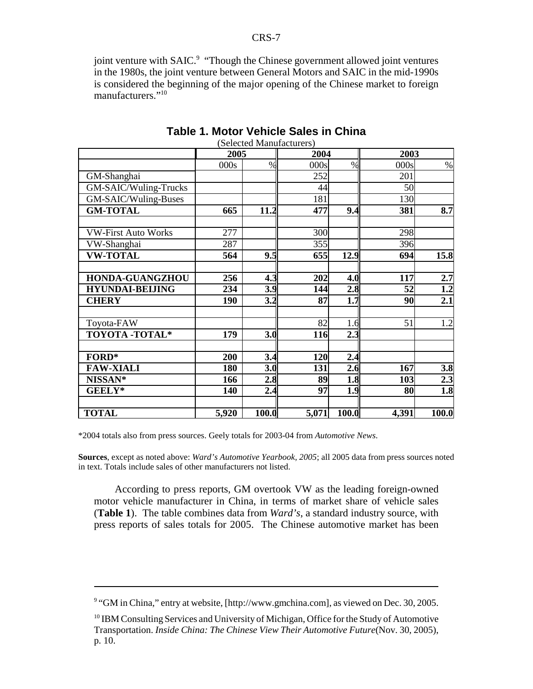joint venture with SAIC.<sup>9</sup> "Though the Chinese government allowed joint ventures in the 1980s, the joint venture between General Motors and SAIC in the mid-1990s is considered the beginning of the major opening of the Chinese market to foreign manufacturers."<sup>10</sup>

|                            | 2005  |       | 2004  |       | 2003  |       |  |
|----------------------------|-------|-------|-------|-------|-------|-------|--|
|                            | 000s  | $\%$  | 000s  | $\%$  | 000s  | $\%$  |  |
| GM-Shanghai                |       |       | 252   |       | 201   |       |  |
| GM-SAIC/Wuling-Trucks      |       |       | 44    |       | 50    |       |  |
| GM-SAIC/Wuling-Buses       |       |       | 181   |       | 130   |       |  |
| <b>GM-TOTAL</b>            | 665   | 11.2  | 477   | 9.4   | 381   | 8.7   |  |
| <b>VW-First Auto Works</b> | 277   |       | 300   |       | 298   |       |  |
| VW-Shanghai                | 287   |       | 355   |       | 396   |       |  |
| <b>VW-TOTAL</b>            | 564   | 9.5   | 655   | 12.9  | 694   | 15.8  |  |
|                            |       |       |       |       |       |       |  |
| <b>HONDA-GUANGZHOU</b>     | 256   | 4.3   | 202   | 4.0   | 117   | 2.7   |  |
| <b>HYUNDAI-BELJING</b>     | 234   | 3.9   | 144   | 2.8   | 52    | 1.2   |  |
| <b>CHERY</b>               | 190   | 3.2   | 87    | 1.7   | 90    | 2.1   |  |
|                            |       |       |       |       |       |       |  |
| Toyota-FAW                 |       |       | 82    | 1.6   | 51    | 1.2   |  |
| <b>TOYOTA -TOTAL*</b>      | 179   | 3.0   | 116   | 2.3   |       |       |  |
|                            |       |       |       |       |       |       |  |
| $FORD^*$                   | 200   | 3.4   | 120   | 2.4   |       |       |  |
| <b>FAW-XIALI</b>           | 180   | 3.0   | 131   | 2.6   | 167   | 3.8   |  |
| NISSAN <sup>*</sup>        | 166   | 2.8   | 89    | 1.8   | 103   | 2.3   |  |
| <b>GEELY*</b>              | 140   | 2.4   | 97    | 1.9   | 80    | 1.8   |  |
|                            |       |       |       |       |       |       |  |
| <b>TOTAL</b>               | 5,920 | 100.0 | 5,071 | 100.0 | 4,391 | 100.0 |  |

#### **Table 1. Motor Vehicle Sales in China** (Selected Manufacturers)

\*2004 totals also from press sources. Geely totals for 2003-04 from *Automotive News*.

**Sources**, except as noted above: *Ward's Automotive Yearbook, 2005*; all 2005 data from press sources noted in text. Totals include sales of other manufacturers not listed.

According to press reports, GM overtook VW as the leading foreign-owned motor vehicle manufacturer in China, in terms of market share of vehicle sales (**Table 1**). The table combines data from *Ward's*, a standard industry source, with press reports of sales totals for 2005. The Chinese automotive market has been

<sup>&</sup>lt;sup>9</sup> "GM in China," entry at website, [http://www.gmchina.com], as viewed on Dec. 30, 2005.

<sup>&</sup>lt;sup>10</sup> IBM Consulting Services and University of Michigan, Office for the Study of Automotive Transportation. *Inside China: The Chinese View Their Automotive Future*(Nov. 30, 2005), p. 10.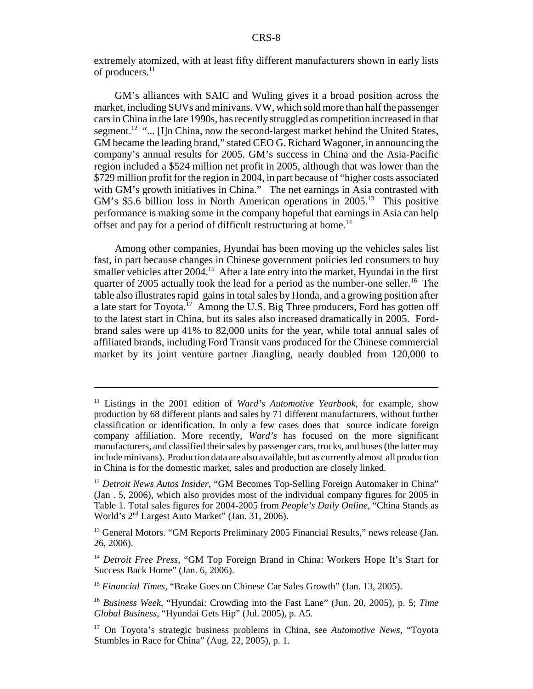extremely atomized, with at least fifty different manufacturers shown in early lists of producers.<sup>11</sup>

GM's alliances with SAIC and Wuling gives it a broad position across the market, including SUVs and minivans. VW, which sold more than half the passenger cars in China in the late 1990s, has recently struggled as competition increased in that segment.<sup>12</sup> "... [I]n China, now the second-largest market behind the United States, GM became the leading brand," stated CEO G. Richard Wagoner, in announcing the company's annual results for 2005. GM's success in China and the Asia-Pacific region included a \$524 million net profit in 2005, although that was lower than the \$729 million profit for the region in 2004, in part because of "higher costs associated with GM's growth initiatives in China." The net earnings in Asia contrasted with GM's \$5.6 billion loss in North American operations in  $2005$ .<sup>13</sup> This positive performance is making some in the company hopeful that earnings in Asia can help offset and pay for a period of difficult restructuring at home.14

Among other companies, Hyundai has been moving up the vehicles sales list fast, in part because changes in Chinese government policies led consumers to buy smaller vehicles after  $2004$ <sup> $15$ </sup> After a late entry into the market, Hyundai in the first quarter of 2005 actually took the lead for a period as the number-one seller.<sup>16</sup> The table also illustrates rapid gains in total sales by Honda, and a growing position after a late start for Toyota.<sup>17</sup> Among the U.S. Big Three producers, Ford has gotten off to the latest start in China, but its sales also increased dramatically in 2005. Fordbrand sales were up 41% to 82,000 units for the year, while total annual sales of affiliated brands, including Ford Transit vans produced for the Chinese commercial market by its joint venture partner Jiangling, nearly doubled from 120,000 to

<sup>11</sup> Listings in the 2001 edition of *Ward's Automotive Yearbook*, for example, show production by 68 different plants and sales by 71 different manufacturers, without further classification or identification. In only a few cases does that source indicate foreign company affiliation. More recently, *Ward's* has focused on the more significant manufacturers, and classified their sales by passenger cars, trucks, and buses (the latter may include minivans). Production data are also available, but as currently almost all production in China is for the domestic market, sales and production are closely linked.

<sup>&</sup>lt;sup>12</sup> *Detroit News Autos Insider*, "GM Becomes Top-Selling Foreign Automaker in China" (Jan . 5, 2006), which also provides most of the individual company figures for 2005 in Table 1. Total sales figures for 2004-2005 from *People's Daily Online*, "China Stands as World's 2nd Largest Auto Market" (Jan. 31, 2006).

<sup>&</sup>lt;sup>13</sup> General Motors. "GM Reports Preliminary 2005 Financial Results," news release (Jan. 26, 2006).

<sup>14</sup> *Detroit Free Press*, "GM Top Foreign Brand in China: Workers Hope It's Start for Success Back Home" (Jan. 6, 2006).

<sup>15</sup> *Financial Times*, "Brake Goes on Chinese Car Sales Growth" (Jan. 13, 2005).

<sup>16</sup> *Business Week*, "Hyundai: Crowding into the Fast Lane" (Jun. 20, 2005), p. 5; *Time Global Business*, "Hyundai Gets Hip" (Jul. 2005), p. A5.

<sup>17</sup> On Toyota's strategic business problems in China, see *Automotive News*, "Toyota Stumbles in Race for China" (Aug. 22, 2005), p. 1.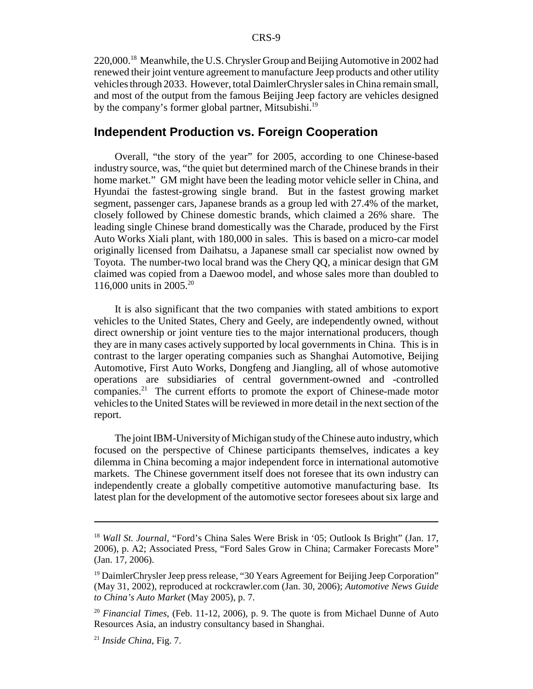220,000.18 Meanwhile, the U.S. Chrysler Group and Beijing Automotive in 2002 had renewed their joint venture agreement to manufacture Jeep products and other utility vehicles through 2033. However, total DaimlerChrysler sales in China remain small, and most of the output from the famous Beijing Jeep factory are vehicles designed by the company's former global partner, Mitsubishi.<sup>19</sup>

### **Independent Production vs. Foreign Cooperation**

Overall, "the story of the year" for 2005, according to one Chinese-based industry source, was, "the quiet but determined march of the Chinese brands in their home market." GM might have been the leading motor vehicle seller in China, and Hyundai the fastest-growing single brand. But in the fastest growing market segment, passenger cars, Japanese brands as a group led with 27.4% of the market, closely followed by Chinese domestic brands, which claimed a 26% share. The leading single Chinese brand domestically was the Charade, produced by the First Auto Works Xiali plant, with 180,000 in sales. This is based on a micro-car model originally licensed from Daihatsu, a Japanese small car specialist now owned by Toyota. The number-two local brand was the Chery QQ, a minicar design that GM claimed was copied from a Daewoo model, and whose sales more than doubled to 116,000 units in 2005.20

It is also significant that the two companies with stated ambitions to export vehicles to the United States, Chery and Geely, are independently owned, without direct ownership or joint venture ties to the major international producers, though they are in many cases actively supported by local governments in China. This is in contrast to the larger operating companies such as Shanghai Automotive, Beijing Automotive, First Auto Works, Dongfeng and Jiangling, all of whose automotive operations are subsidiaries of central government-owned and -controlled companies.<sup>21</sup> The current efforts to promote the export of Chinese-made motor vehicles to the United States will be reviewed in more detail in the next section of the report.

The joint IBM-University of Michigan study of the Chinese auto industry, which focused on the perspective of Chinese participants themselves, indicates a key dilemma in China becoming a major independent force in international automotive markets. The Chinese government itself does not foresee that its own industry can independently create a globally competitive automotive manufacturing base. Its latest plan for the development of the automotive sector foresees about six large and

<sup>18</sup> *Wall St. Journal*, "Ford's China Sales Were Brisk in '05; Outlook Is Bright" (Jan. 17, 2006), p. A2; Associated Press, "Ford Sales Grow in China; Carmaker Forecasts More" (Jan. 17, 2006).

<sup>&</sup>lt;sup>19</sup> DaimlerChrysler Jeep press release, "30 Years Agreement for Beijing Jeep Corporation" (May 31, 2002), reproduced at rockcrawler.com (Jan. 30, 2006); *Automotive News Guide to China's Auto Market* (May 2005), p. 7.

<sup>20</sup> *Financial Times*, (Feb. 11-12, 2006), p. 9. The quote is from Michael Dunne of Auto Resources Asia, an industry consultancy based in Shanghai.

<sup>21</sup> *Inside China*, Fig. 7.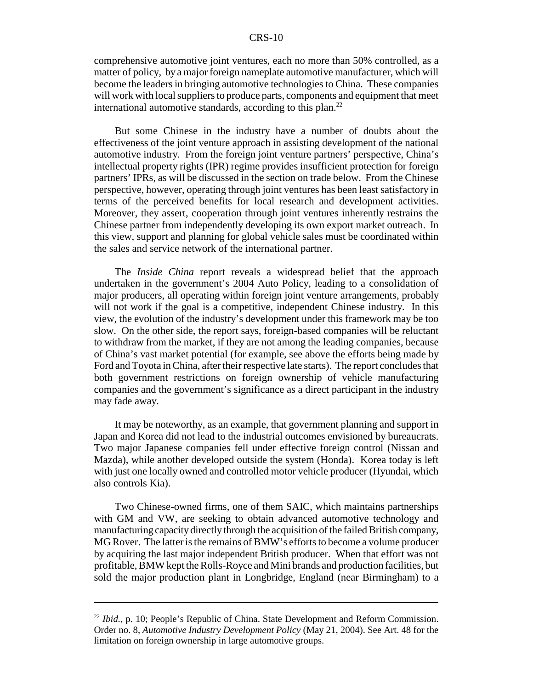#### CRS-10

comprehensive automotive joint ventures, each no more than 50% controlled, as a matter of policy, by a major foreign nameplate automotive manufacturer, which will become the leaders in bringing automotive technologies to China. These companies will work with local suppliers to produce parts, components and equipment that meet international automotive standards, according to this plan.<sup>22</sup>

But some Chinese in the industry have a number of doubts about the effectiveness of the joint venture approach in assisting development of the national automotive industry. From the foreign joint venture partners' perspective, China's intellectual property rights (IPR) regime provides insufficient protection for foreign partners' IPRs, as will be discussed in the section on trade below. From the Chinese perspective, however, operating through joint ventures has been least satisfactory in terms of the perceived benefits for local research and development activities. Moreover, they assert, cooperation through joint ventures inherently restrains the Chinese partner from independently developing its own export market outreach. In this view, support and planning for global vehicle sales must be coordinated within the sales and service network of the international partner.

The *Inside China* report reveals a widespread belief that the approach undertaken in the government's 2004 Auto Policy, leading to a consolidation of major producers, all operating within foreign joint venture arrangements, probably will not work if the goal is a competitive, independent Chinese industry. In this view, the evolution of the industry's development under this framework may be too slow. On the other side, the report says, foreign-based companies will be reluctant to withdraw from the market, if they are not among the leading companies, because of China's vast market potential (for example, see above the efforts being made by Ford and Toyota in China, after their respective late starts). The report concludes that both government restrictions on foreign ownership of vehicle manufacturing companies and the government's significance as a direct participant in the industry may fade away.

It may be noteworthy, as an example, that government planning and support in Japan and Korea did not lead to the industrial outcomes envisioned by bureaucrats. Two major Japanese companies fell under effective foreign control (Nissan and Mazda), while another developed outside the system (Honda). Korea today is left with just one locally owned and controlled motor vehicle producer (Hyundai, which also controls Kia).

Two Chinese-owned firms, one of them SAIC, which maintains partnerships with GM and VW, are seeking to obtain advanced automotive technology and manufacturing capacity directly through the acquisition of the failed British company, MG Rover. The latter is the remains of BMW's efforts to become a volume producer by acquiring the last major independent British producer. When that effort was not profitable, BMW kept the Rolls-Royce and Mini brands and production facilities, but sold the major production plant in Longbridge, England (near Birmingham) to a

<sup>&</sup>lt;sup>22</sup> *Ibid.*, p. 10; People's Republic of China. State Development and Reform Commission. Order no. 8, *Automotive Industry Development Policy* (May 21, 2004). See Art. 48 for the limitation on foreign ownership in large automotive groups.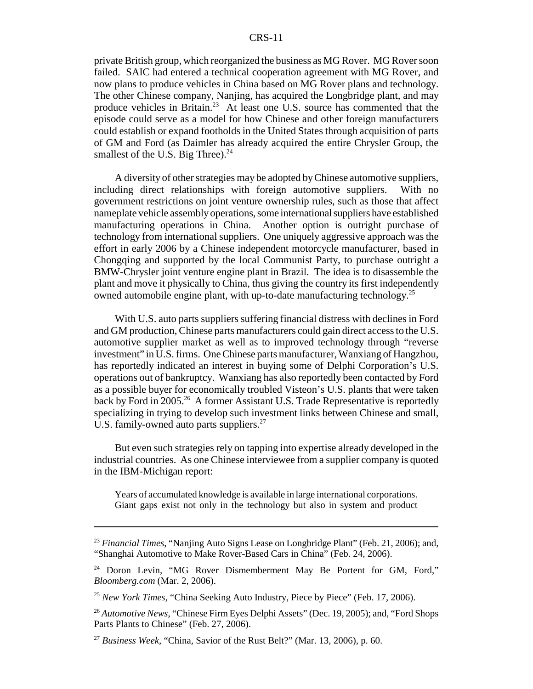#### CRS-11

private British group, which reorganized the business as MG Rover. MG Rover soon failed. SAIC had entered a technical cooperation agreement with MG Rover, and now plans to produce vehicles in China based on MG Rover plans and technology. The other Chinese company, Nanjing, has acquired the Longbridge plant, and may produce vehicles in Britain.<sup>23</sup> At least one U.S. source has commented that the episode could serve as a model for how Chinese and other foreign manufacturers could establish or expand footholds in the United States through acquisition of parts of GM and Ford (as Daimler has already acquired the entire Chrysler Group, the smallest of the U.S. Big Three). $^{24}$ 

A diversity of other strategies may be adopted by Chinese automotive suppliers, including direct relationships with foreign automotive suppliers. With no government restrictions on joint venture ownership rules, such as those that affect nameplate vehicle assembly operations, some international suppliers have established manufacturing operations in China. Another option is outright purchase of technology from international suppliers. One uniquely aggressive approach was the effort in early 2006 by a Chinese independent motorcycle manufacturer, based in Chongqing and supported by the local Communist Party, to purchase outright a BMW-Chrysler joint venture engine plant in Brazil. The idea is to disassemble the plant and move it physically to China, thus giving the country its first independently owned automobile engine plant, with up-to-date manufacturing technology.<sup>25</sup>

With U.S. auto parts suppliers suffering financial distress with declines in Ford and GM production, Chinese parts manufacturers could gain direct access to the U.S. automotive supplier market as well as to improved technology through "reverse investment" in U.S. firms. One Chinese parts manufacturer, Wanxiang of Hangzhou, has reportedly indicated an interest in buying some of Delphi Corporation's U.S. operations out of bankruptcy. Wanxiang has also reportedly been contacted by Ford as a possible buyer for economically troubled Visteon's U.S. plants that were taken back by Ford in 2005.<sup>26</sup> A former Assistant U.S. Trade Representative is reportedly specializing in trying to develop such investment links between Chinese and small, U.S. family-owned auto parts suppliers. $27$ 

But even such strategies rely on tapping into expertise already developed in the industrial countries. As one Chinese interviewee from a supplier company is quoted in the IBM-Michigan report:

Years of accumulated knowledge is available in large international corporations. Giant gaps exist not only in the technology but also in system and product

<sup>23</sup> *Financial Times*, "Nanjing Auto Signs Lease on Longbridge Plant" (Feb. 21, 2006); and, "Shanghai Automotive to Make Rover-Based Cars in China" (Feb. 24, 2006).

<sup>&</sup>lt;sup>24</sup> Doron Levin, "MG Rover Dismemberment May Be Portent for GM, Ford," *Bloomberg.com* (Mar. 2, 2006).

<sup>25</sup> *New York Times*, "China Seeking Auto Industry, Piece by Piece" (Feb. 17, 2006).

<sup>26</sup> *Automotive News*, "Chinese Firm Eyes Delphi Assets" (Dec. 19, 2005); and, "Ford Shops Parts Plants to Chinese" (Feb. 27, 2006).

<sup>27</sup> *Business Week*, "China, Savior of the Rust Belt?" (Mar. 13, 2006), p. 60.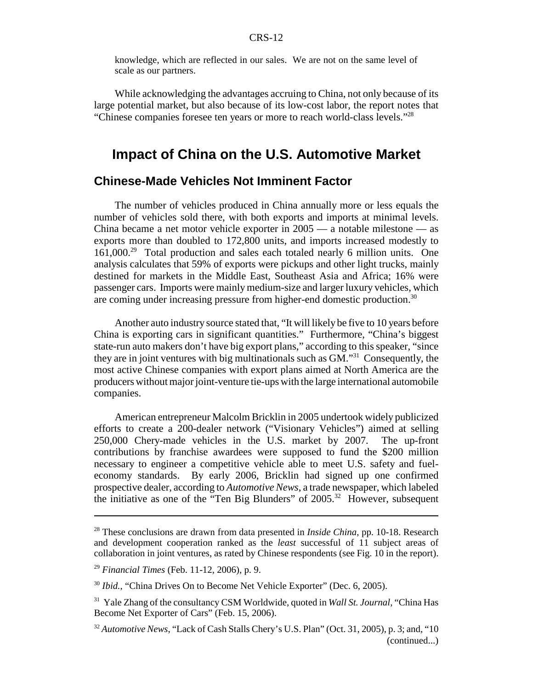knowledge, which are reflected in our sales. We are not on the same level of scale as our partners.

While acknowledging the advantages accruing to China, not only because of its large potential market, but also because of its low-cost labor, the report notes that "Chinese companies foresee ten years or more to reach world-class levels."28

# **Impact of China on the U.S. Automotive Market**

#### **Chinese-Made Vehicles Not Imminent Factor**

The number of vehicles produced in China annually more or less equals the number of vehicles sold there, with both exports and imports at minimal levels. China became a net motor vehicle exporter in 2005 — a notable milestone — as exports more than doubled to 172,800 units, and imports increased modestly to 161,000.29 Total production and sales each totaled nearly 6 million units. One analysis calculates that 59% of exports were pickups and other light trucks, mainly destined for markets in the Middle East, Southeast Asia and Africa; 16% were passenger cars. Imports were mainly medium-size and larger luxury vehicles, which are coming under increasing pressure from higher-end domestic production.<sup>30</sup>

Another auto industry source stated that, "It will likely be five to 10 years before China is exporting cars in significant quantities." Furthermore, "China's biggest state-run auto makers don't have big export plans," according to this speaker, "since they are in joint ventures with big multinationals such as GM."31 Consequently, the most active Chinese companies with export plans aimed at North America are the producers without major joint-venture tie-ups with the large international automobile companies.

American entrepreneur Malcolm Bricklin in 2005 undertook widely publicized efforts to create a 200-dealer network ("Visionary Vehicles") aimed at selling 250,000 Chery-made vehicles in the U.S. market by 2007. The up-front contributions by franchise awardees were supposed to fund the \$200 million necessary to engineer a competitive vehicle able to meet U.S. safety and fueleconomy standards. By early 2006, Bricklin had signed up one confirmed prospective dealer, according to *Automotive News*, a trade newspaper, which labeled the initiative as one of the "Ten Big Blunders" of  $2005$ <sup>32</sup> However, subsequent

<sup>28</sup> These conclusions are drawn from data presented in *Inside China*, pp. 10-18. Research and development cooperation ranked as the *least* successful of 11 subject areas of collaboration in joint ventures, as rated by Chinese respondents (see Fig. 10 in the report).

<sup>29</sup> *Financial Times* (Feb. 11-12, 2006), p. 9.

<sup>&</sup>lt;sup>30</sup> *Ibid.*, "China Drives On to Become Net Vehicle Exporter" (Dec. 6, 2005).

<sup>31</sup> Yale Zhang of the consultancy CSM Worldwide, quoted in *Wall St. Journal*, "China Has Become Net Exporter of Cars" (Feb. 15, 2006).

<sup>&</sup>lt;sup>32</sup> Automotive News, "Lack of Cash Stalls Chery's U.S. Plan" (Oct. 31, 2005), p. 3; and, "10 (continued...)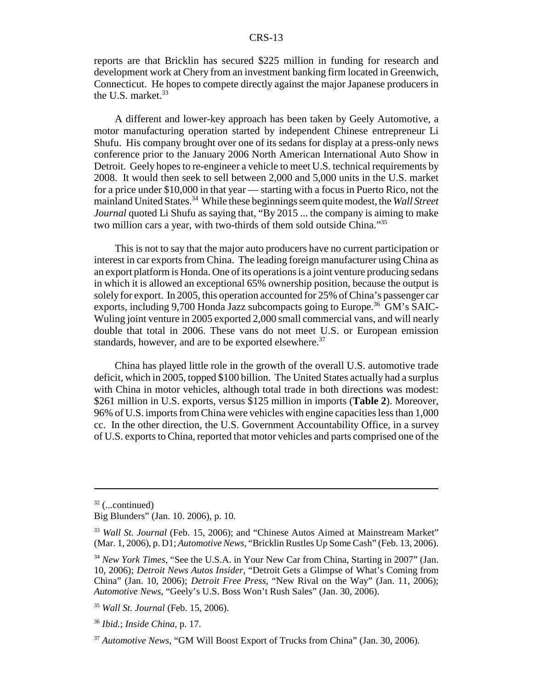reports are that Bricklin has secured \$225 million in funding for research and development work at Chery from an investment banking firm located in Greenwich, Connecticut. He hopes to compete directly against the major Japanese producers in the U.S. market.<sup>33</sup>

A different and lower-key approach has been taken by Geely Automotive, a motor manufacturing operation started by independent Chinese entrepreneur Li Shufu. His company brought over one of its sedans for display at a press-only news conference prior to the January 2006 North American International Auto Show in Detroit. Geely hopes to re-engineer a vehicle to meet U.S. technical requirements by 2008. It would then seek to sell between 2,000 and 5,000 units in the U.S. market for a price under \$10,000 in that year — starting with a focus in Puerto Rico, not the mainland United States.34 While these beginnings seem quite modest, the *Wall Street Journal* quoted Li Shufu as saying that, "By 2015 ... the company is aiming to make two million cars a year, with two-thirds of them sold outside China."35

This is not to say that the major auto producers have no current participation or interest in car exports from China. The leading foreign manufacturer using China as an export platform is Honda. One of its operations is a joint venture producing sedans in which it is allowed an exceptional 65% ownership position, because the output is solely for export. In 2005, this operation accounted for 25% of China's passenger car exports, including 9,700 Honda Jazz subcompacts going to Europe.<sup>36</sup> GM's SAIC-Wuling joint venture in 2005 exported 2,000 small commercial vans, and will nearly double that total in 2006. These vans do not meet U.S. or European emission standards, however, and are to be exported elsewhere.<sup>37</sup>

China has played little role in the growth of the overall U.S. automotive trade deficit, which in 2005, topped \$100 billion. The United States actually had a surplus with China in motor vehicles, although total trade in both directions was modest: \$261 million in U.S. exports, versus \$125 million in imports (**Table 2**). Moreover, 96% of U.S. imports from China were vehicles with engine capacities less than 1,000 cc. In the other direction, the U.S. Government Accountability Office, in a survey of U.S. exports to China, reported that motor vehicles and parts comprised one of the

 $32$  (...continued)

Big Blunders" (Jan. 10. 2006), p. 10.

<sup>33</sup> *Wall St. Journal* (Feb. 15, 2006); and "Chinese Autos Aimed at Mainstream Market" (Mar. 1, 2006), p. D1; *Automotive News*, "Bricklin Rustles Up Some Cash" (Feb. 13, 2006).

<sup>34</sup> *New York Times*, "See the U.S.A. in Your New Car from China, Starting in 2007" (Jan. 10, 2006); *Detroit News Autos Insider*, "Detroit Gets a Glimpse of What's Coming from China" (Jan. 10, 2006); *Detroit Free Press*, "New Rival on the Way" (Jan. 11, 2006); *Automotive News*, "Geely's U.S. Boss Won't Rush Sales" (Jan. 30, 2006).

<sup>35</sup> *Wall St. Journal* (Feb. 15, 2006).

<sup>36</sup> *Ibid.*; *Inside China*, p. 17.

<sup>37</sup> *Automotive News*, "GM Will Boost Export of Trucks from China" (Jan. 30, 2006).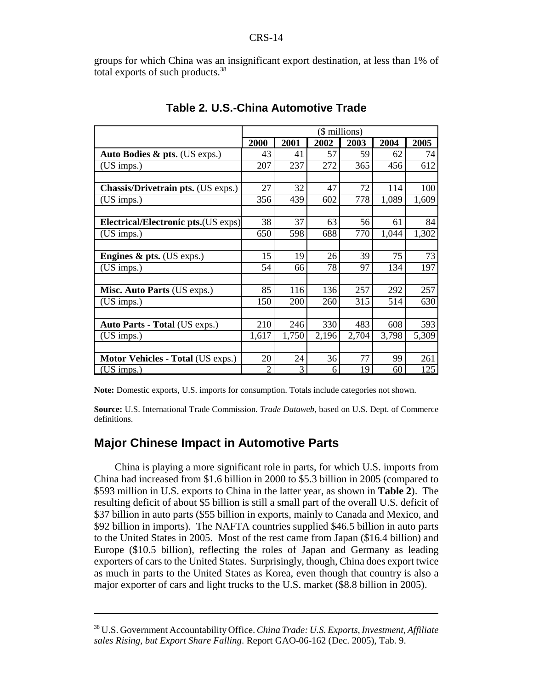groups for which China was an insignificant export destination, at less than 1% of total exports of such products.38

|                                            | (\$ millions)  |            |       |       |       |       |  |  |
|--------------------------------------------|----------------|------------|-------|-------|-------|-------|--|--|
|                                            | 2000           | 2001       | 2002  | 2003  | 2004  | 2005  |  |  |
| Auto Bodies $\&$ pts. (US exps.)           | 43             | 41         | 57    | 59    | 62    | 74    |  |  |
| (US imps.)                                 | 207            | 237        | 272   | 365   | 456   | 612   |  |  |
|                                            |                |            |       |       |       |       |  |  |
| <b>Chassis/Drivetrain pts.</b> (US exps.)  | 27             | 32         | 47    | 72    | 114   | 100   |  |  |
| (US imps.)                                 | 356            | 439        | 602   | 778   | 1,089 | 1,609 |  |  |
|                                            |                |            |       |       |       |       |  |  |
| <b>Electrical/Electronic pts.(US exps)</b> | 38             | 37         | 63    | 56    | 61    | 84    |  |  |
| (US imps.)                                 | 650            | 598        | 688   | 770   | 1,044 | 1,302 |  |  |
|                                            |                |            |       |       |       |       |  |  |
| <b>Engines &amp; pts.</b> (US exps.)       | 15             | 19         | 26    | 39    | 75    | 73    |  |  |
| (US imps.)                                 | 54             | 66         | 78    | 97    | 134   | 197   |  |  |
|                                            |                |            |       |       |       |       |  |  |
| Misc. Auto Parts (US exps.)                | 85             | 116        | 136   | 257   | 292   | 257   |  |  |
| (US imps.)                                 | 150            | <b>200</b> | 260   | 315   | 514   | 630   |  |  |
|                                            |                |            |       |       |       |       |  |  |
| Auto Parts - Total (US exps.)              | 210            | 246        | 330   | 483   | 608   | 593   |  |  |
| (US imps.)                                 | 1,617          | 1,750      | 2,196 | 2,704 | 3,798 | 5,309 |  |  |
|                                            |                |            |       |       |       |       |  |  |
| <b>Motor Vehicles - Total (US exps.)</b>   | 20             | 24         | 36    | 77    | 99    | 261   |  |  |
| $(US$ imps.)                               | $\overline{2}$ | 3          | 6     | 19    | 60    | 125   |  |  |

#### **Table 2. U.S.-China Automotive Trade**

**Note:** Domestic exports, U.S. imports for consumption. Totals include categories not shown.

**Source:** U.S. International Trade Commission. *Trade Dataweb*, based on U.S. Dept. of Commerce definitions.

### **Major Chinese Impact in Automotive Parts**

China is playing a more significant role in parts, for which U.S. imports from China had increased from \$1.6 billion in 2000 to \$5.3 billion in 2005 (compared to \$593 million in U.S. exports to China in the latter year, as shown in **Table 2**). The resulting deficit of about \$5 billion is still a small part of the overall U.S. deficit of \$37 billion in auto parts (\$55 billion in exports, mainly to Canada and Mexico, and \$92 billion in imports). The NAFTA countries supplied \$46.5 billion in auto parts to the United States in 2005. Most of the rest came from Japan (\$16.4 billion) and Europe (\$10.5 billion), reflecting the roles of Japan and Germany as leading exporters of cars to the United States. Surprisingly, though, China does export twice as much in parts to the United States as Korea, even though that country is also a major exporter of cars and light trucks to the U.S. market (\$8.8 billion in 2005).

<sup>38</sup> U.S. Government Accountability Office. *China Trade: U.S. Exports, Investment, Affiliate sales Rising, but Export Share Falling*. Report GAO-06-162 (Dec. 2005), Tab. 9.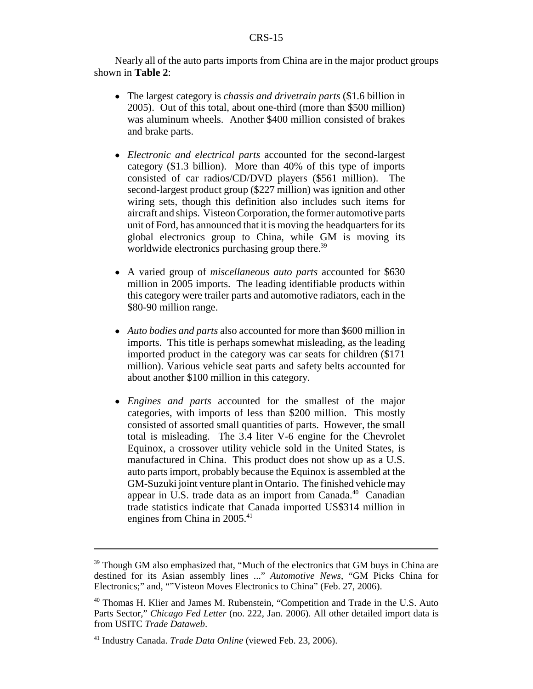Nearly all of the auto parts imports from China are in the major product groups shown in **Table 2**:

- ! The largest category is *chassis and drivetrain parts* (\$1.6 billion in 2005). Out of this total, about one-third (more than \$500 million) was aluminum wheels. Another \$400 million consisted of brakes and brake parts.
- ! *Electronic and electrical parts* accounted for the second-largest category (\$1.3 billion). More than 40% of this type of imports consisted of car radios/CD/DVD players (\$561 million). The second-largest product group (\$227 million) was ignition and other wiring sets, though this definition also includes such items for aircraft and ships. Visteon Corporation, the former automotive parts unit of Ford, has announced that it is moving the headquarters for its global electronics group to China, while GM is moving its worldwide electronics purchasing group there.<sup>39</sup>
- ! A varied group of *miscellaneous auto parts* accounted for \$630 million in 2005 imports. The leading identifiable products within this category were trailer parts and automotive radiators, each in the \$80-90 million range.
- ! *Auto bodies and parts* also accounted for more than \$600 million in imports. This title is perhaps somewhat misleading, as the leading imported product in the category was car seats for children (\$171 million). Various vehicle seat parts and safety belts accounted for about another \$100 million in this category.
- ! *Engines and parts* accounted for the smallest of the major categories, with imports of less than \$200 million. This mostly consisted of assorted small quantities of parts. However, the small total is misleading. The 3.4 liter V-6 engine for the Chevrolet Equinox, a crossover utility vehicle sold in the United States, is manufactured in China. This product does not show up as a U.S. auto parts import, probably because the Equinox is assembled at the GM-Suzuki joint venture plant in Ontario. The finished vehicle may appear in U.S. trade data as an import from Canada.<sup>40</sup> Canadian trade statistics indicate that Canada imported US\$314 million in engines from China in 2005.<sup>41</sup>

<sup>&</sup>lt;sup>39</sup> Though GM also emphasized that, "Much of the electronics that GM buys in China are destined for its Asian assembly lines ..." *Automotive News*, "GM Picks China for Electronics;" and, ""Visteon Moves Electronics to China" (Feb. 27, 2006).

<sup>40</sup> Thomas H. Klier and James M. Rubenstein, "Competition and Trade in the U.S. Auto Parts Sector," *Chicago Fed Letter* (no. 222, Jan. 2006). All other detailed import data is from USITC *Trade Dataweb*.

<sup>41</sup> Industry Canada. *Trade Data Online* (viewed Feb. 23, 2006).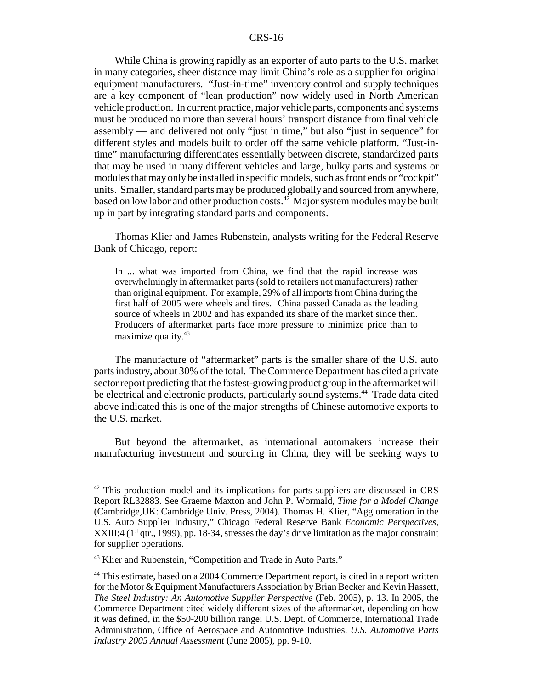While China is growing rapidly as an exporter of auto parts to the U.S. market in many categories, sheer distance may limit China's role as a supplier for original equipment manufacturers. "Just-in-time" inventory control and supply techniques are a key component of "lean production" now widely used in North American vehicle production. In current practice, major vehicle parts, components and systems must be produced no more than several hours' transport distance from final vehicle assembly — and delivered not only "just in time," but also "just in sequence" for different styles and models built to order off the same vehicle platform. "Just-intime" manufacturing differentiates essentially between discrete, standardized parts that may be used in many different vehicles and large, bulky parts and systems or modules that may only be installed in specific models, such as front ends or "cockpit" units. Smaller, standard parts may be produced globally and sourced from anywhere, based on low labor and other production costs.<sup>42</sup> Major system modules may be built up in part by integrating standard parts and components.

Thomas Klier and James Rubenstein, analysts writing for the Federal Reserve Bank of Chicago, report:

In ... what was imported from China, we find that the rapid increase was overwhelmingly in aftermarket parts (sold to retailers not manufacturers) rather than original equipment. For example, 29% of all imports from China during the first half of 2005 were wheels and tires. China passed Canada as the leading source of wheels in 2002 and has expanded its share of the market since then. Producers of aftermarket parts face more pressure to minimize price than to maximize quality. $43$ 

The manufacture of "aftermarket" parts is the smaller share of the U.S. auto parts industry, about 30% of the total. The Commerce Department has cited a private sector report predicting that the fastest-growing product group in the aftermarket will be electrical and electronic products, particularly sound systems.<sup>44</sup> Trade data cited above indicated this is one of the major strengths of Chinese automotive exports to the U.S. market.

But beyond the aftermarket, as international automakers increase their manufacturing investment and sourcing in China, they will be seeking ways to

 $42$  This production model and its implications for parts suppliers are discussed in CRS Report RL32883. See Graeme Maxton and John P. Wormald, *Time for a Model Change* (Cambridge,UK: Cambridge Univ. Press, 2004). Thomas H. Klier, "Agglomeration in the U.S. Auto Supplier Industry," Chicago Federal Reserve Bank *Economic Perspectives*, XXIII:4 ( $1<sup>st</sup>$  qtr., 1999), pp. 18-34, stresses the day's drive limitation as the major constraint for supplier operations.

<sup>43</sup> Klier and Rubenstein, "Competition and Trade in Auto Parts."

<sup>44</sup> This estimate, based on a 2004 Commerce Department report, is cited in a report written for the Motor & Equipment Manufacturers Association by Brian Becker and Kevin Hassett, *The Steel Industry: An Automotive Supplier Perspective* (Feb. 2005), p. 13. In 2005, the Commerce Department cited widely different sizes of the aftermarket, depending on how it was defined, in the \$50-200 billion range; U.S. Dept. of Commerce, International Trade Administration, Office of Aerospace and Automotive Industries. *U.S. Automotive Parts Industry 2005 Annual Assessment* (June 2005), pp. 9-10.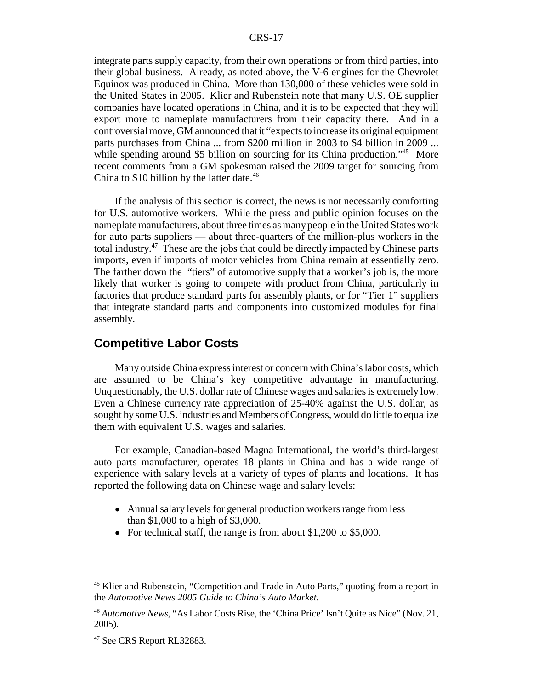#### CRS-17

integrate parts supply capacity, from their own operations or from third parties, into their global business. Already, as noted above, the V-6 engines for the Chevrolet Equinox was produced in China. More than 130,000 of these vehicles were sold in the United States in 2005. Klier and Rubenstein note that many U.S. OE supplier companies have located operations in China, and it is to be expected that they will export more to nameplate manufacturers from their capacity there. And in a controversial move, GM announced that it "expects to increase its original equipment parts purchases from China ... from \$200 million in 2003 to \$4 billion in 2009 ... while spending around \$5 billion on sourcing for its China production."<sup>45</sup> More recent comments from a GM spokesman raised the 2009 target for sourcing from China to  $$10$  billion by the latter date.<sup>46</sup>

If the analysis of this section is correct, the news is not necessarily comforting for U.S. automotive workers. While the press and public opinion focuses on the nameplate manufacturers, about three times as many people in the United States work for auto parts suppliers — about three-quarters of the million-plus workers in the total industry.47 These are the jobs that could be directly impacted by Chinese parts imports, even if imports of motor vehicles from China remain at essentially zero. The farther down the "tiers" of automotive supply that a worker's job is, the more likely that worker is going to compete with product from China, particularly in factories that produce standard parts for assembly plants, or for "Tier 1" suppliers that integrate standard parts and components into customized modules for final assembly.

#### **Competitive Labor Costs**

Many outside China express interest or concern with China's labor costs, which are assumed to be China's key competitive advantage in manufacturing. Unquestionably, the U.S. dollar rate of Chinese wages and salaries is extremely low. Even a Chinese currency rate appreciation of 25-40% against the U.S. dollar, as sought by some U.S. industries and Members of Congress, would do little to equalize them with equivalent U.S. wages and salaries.

For example, Canadian-based Magna International, the world's third-largest auto parts manufacturer, operates 18 plants in China and has a wide range of experience with salary levels at a variety of types of plants and locations. It has reported the following data on Chinese wage and salary levels:

- Annual salary levels for general production workers range from less than \$1,000 to a high of \$3,000.
- For technical staff, the range is from about \$1,200 to \$5,000.

<sup>&</sup>lt;sup>45</sup> Klier and Rubenstein, "Competition and Trade in Auto Parts," quoting from a report in the *Automotive News 2005 Guide to China's Auto Market*.

<sup>46</sup> *Automotive News*, "As Labor Costs Rise, the 'China Price' Isn't Quite as Nice" (Nov. 21, 2005).

<sup>&</sup>lt;sup>47</sup> See CRS Report RL32883.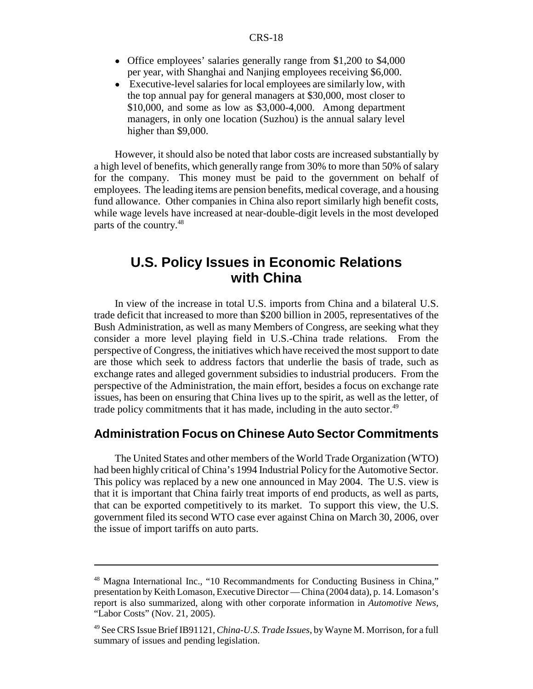- Office employees' salaries generally range from \$1,200 to \$4,000 per year, with Shanghai and Nanjing employees receiving \$6,000.
- ! Executive-level salaries for local employees are similarly low, with the top annual pay for general managers at \$30,000, most closer to \$10,000, and some as low as \$3,000-4,000. Among department managers, in only one location (Suzhou) is the annual salary level higher than \$9,000.

However, it should also be noted that labor costs are increased substantially by a high level of benefits, which generally range from 30% to more than 50% of salary for the company. This money must be paid to the government on behalf of employees. The leading items are pension benefits, medical coverage, and a housing fund allowance. Other companies in China also report similarly high benefit costs, while wage levels have increased at near-double-digit levels in the most developed parts of the country.<sup>48</sup>

# **U.S. Policy Issues in Economic Relations with China**

In view of the increase in total U.S. imports from China and a bilateral U.S. trade deficit that increased to more than \$200 billion in 2005, representatives of the Bush Administration, as well as many Members of Congress, are seeking what they consider a more level playing field in U.S.-China trade relations. From the perspective of Congress, the initiatives which have received the most support to date are those which seek to address factors that underlie the basis of trade, such as exchange rates and alleged government subsidies to industrial producers. From the perspective of the Administration, the main effort, besides a focus on exchange rate issues, has been on ensuring that China lives up to the spirit, as well as the letter, of trade policy commitments that it has made, including in the auto sector. $49$ 

#### **Administration Focus on Chinese Auto Sector Commitments**

The United States and other members of the World Trade Organization (WTO) had been highly critical of China's 1994 Industrial Policy for the Automotive Sector. This policy was replaced by a new one announced in May 2004. The U.S. view is that it is important that China fairly treat imports of end products, as well as parts, that can be exported competitively to its market. To support this view, the U.S. government filed its second WTO case ever against China on March 30, 2006, over the issue of import tariffs on auto parts.

<sup>48</sup> Magna International Inc., "10 Recommandments for Conducting Business in China," presentation by Keith Lomason, Executive Director — China (2004 data), p. 14. Lomason's report is also summarized, along with other corporate information in *Automotive News*, "Labor Costs" (Nov. 21, 2005).

<sup>49</sup> See CRS Issue Brief IB91121, *China-U.S. Trade Issues*, by Wayne M. Morrison, for a full summary of issues and pending legislation.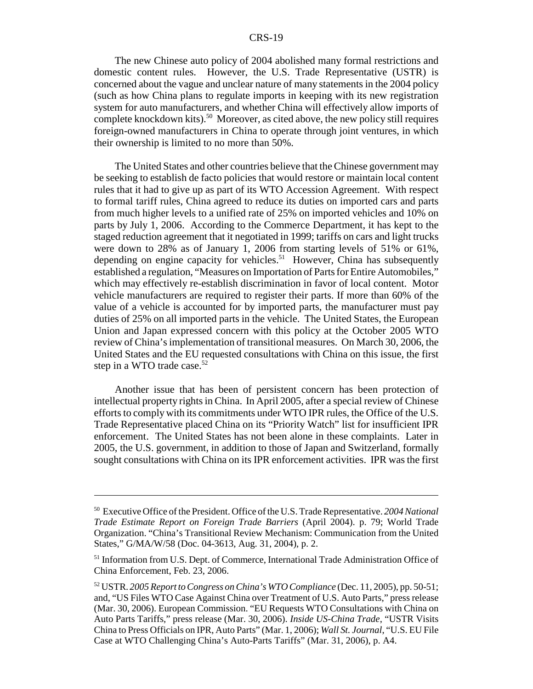#### CRS-19

The new Chinese auto policy of 2004 abolished many formal restrictions and domestic content rules. However, the U.S. Trade Representative (USTR) is concerned about the vague and unclear nature of many statements in the 2004 policy (such as how China plans to regulate imports in keeping with its new registration system for auto manufacturers, and whether China will effectively allow imports of complete knockdown kits).<sup>50</sup> Moreover, as cited above, the new policy still requires foreign-owned manufacturers in China to operate through joint ventures, in which their ownership is limited to no more than 50%.

The United States and other countries believe that the Chinese government may be seeking to establish de facto policies that would restore or maintain local content rules that it had to give up as part of its WTO Accession Agreement. With respect to formal tariff rules, China agreed to reduce its duties on imported cars and parts from much higher levels to a unified rate of 25% on imported vehicles and 10% on parts by July 1, 2006. According to the Commerce Department, it has kept to the staged reduction agreement that it negotiated in 1999; tariffs on cars and light trucks were down to 28% as of January 1, 2006 from starting levels of 51% or 61%, depending on engine capacity for vehicles.<sup>51</sup> However, China has subsequently established a regulation, "Measures on Importation of Parts for Entire Automobiles," which may effectively re-establish discrimination in favor of local content. Motor vehicle manufacturers are required to register their parts. If more than 60% of the value of a vehicle is accounted for by imported parts, the manufacturer must pay duties of 25% on all imported parts in the vehicle. The United States, the European Union and Japan expressed concern with this policy at the October 2005 WTO review of China's implementation of transitional measures. On March 30, 2006, the United States and the EU requested consultations with China on this issue, the first step in a WTO trade case.<sup>52</sup>

Another issue that has been of persistent concern has been protection of intellectual property rights in China. In April 2005, after a special review of Chinese efforts to comply with its commitments under WTO IPR rules, the Office of the U.S. Trade Representative placed China on its "Priority Watch" list for insufficient IPR enforcement. The United States has not been alone in these complaints. Later in 2005, the U.S. government, in addition to those of Japan and Switzerland, formally sought consultations with China on its IPR enforcement activities. IPR was the first

<sup>50</sup> Executive Office of the President. Office of the U.S. Trade Representative. *2004 National Trade Estimate Report on Foreign Trade Barriers* (April 2004). p. 79; World Trade Organization. "China's Transitional Review Mechanism: Communication from the United States," G/MA/W/58 (Doc. 04-3613, Aug. 31, 2004), p. 2.

<sup>51</sup> Information from U.S. Dept. of Commerce, International Trade Administration Office of China Enforcement, Feb. 23, 2006.

<sup>52</sup> USTR. *2005 Report to Congress on China's WTO Compliance* (Dec. 11, 2005), pp. 50-51; and, "US Files WTO Case Against China over Treatment of U.S. Auto Parts," press release (Mar. 30, 2006). European Commission. "EU Requests WTO Consultations with China on Auto Parts Tariffs," press release (Mar. 30, 2006). *Inside US-China Trade*, "USTR Visits China to Press Officials on IPR, Auto Parts" (Mar. 1, 2006); *Wall St. Journal*, "U.S. EU File Case at WTO Challenging China's Auto-Parts Tariffs" (Mar. 31, 2006), p. A4.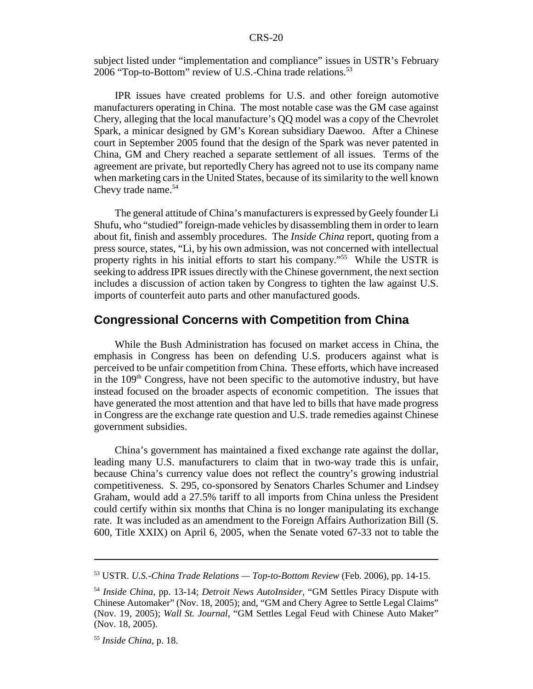subject listed under "implementation and compliance" issues in USTR's February 2006 "Top-to-Bottom" review of U.S.-China trade relations.<sup>53</sup>

IPR issues have created problems for U.S. and other foreign automotive manufacturers operating in China. The most notable case was the GM case against Chery, alleging that the local manufacture's QQ model was a copy of the Chevrolet Spark, a minicar designed by GM's Korean subsidiary Daewoo. After a Chinese court in September 2005 found that the design of the Spark was never patented in China, GM and Chery reached a separate settlement of all issues. Terms of the agreement are private, but reportedly Chery has agreed not to use its company name when marketing cars in the United States, because of its similarity to the well known Chevy trade name.<sup>54</sup>

The general attitude of China's manufacturers is expressed by Geely founder Li Shufu, who "studied" foreign-made vehicles by disassembling them in order to learn about fit, finish and assembly procedures. The *Inside China* report, quoting from a press source, states, "Li, by his own admission, was not concerned with intellectual property rights in his initial efforts to start his company."55 While the USTR is seeking to address IPR issues directly with the Chinese government, the next section includes a discussion of action taken by Congress to tighten the law against U.S. imports of counterfeit auto parts and other manufactured goods.

#### **Congressional Concerns with Competition from China**

While the Bush Administration has focused on market access in China, the emphasis in Congress has been on defending U.S. producers against what is perceived to be unfair competition from China. These efforts, which have increased in the  $109<sup>th</sup>$  Congress, have not been specific to the automotive industry, but have instead focused on the broader aspects of economic competition. The issues that have generated the most attention and that have led to bills that have made progress in Congress are the exchange rate question and U.S. trade remedies against Chinese government subsidies.

China's government has maintained a fixed exchange rate against the dollar, leading many U.S. manufacturers to claim that in two-way trade this is unfair, because China's currency value does not reflect the country's growing industrial competitiveness. S. 295, co-sponsored by Senators Charles Schumer and Lindsey Graham, would add a 27.5% tariff to all imports from China unless the President could certify within six months that China is no longer manipulating its exchange rate. It was included as an amendment to the Foreign Affairs Authorization Bill (S. 600, Title XXIX) on April 6, 2005, when the Senate voted 67-33 not to table the

<sup>53</sup> USTR. *U.S.-China Trade Relations — Top-to-Bottom Review* (Feb. 2006), pp. 14-15.

<sup>54</sup> *Inside China*, pp. 13-14; *Detroit News AutoInsider*, "GM Settles Piracy Dispute with Chinese Automaker" (Nov. 18, 2005); and, "GM and Chery Agree to Settle Legal Claims" (Nov. 19, 2005); *Wall St. Journal*, "GM Settles Legal Feud with Chinese Auto Maker" (Nov. 18, 2005).

<sup>55</sup> *Inside China*, p. 18.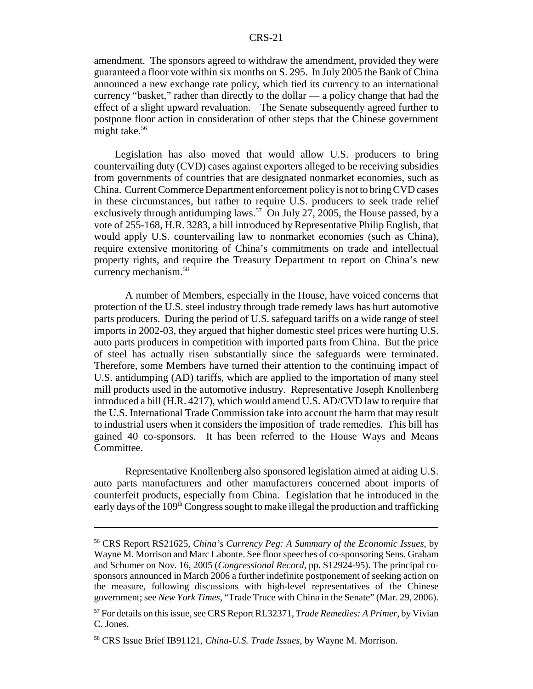amendment. The sponsors agreed to withdraw the amendment, provided they were guaranteed a floor vote within six months on S. 295. In July 2005 the Bank of China announced a new exchange rate policy, which tied its currency to an international currency "basket," rather than directly to the dollar — a policy change that had the effect of a slight upward revaluation. The Senate subsequently agreed further to postpone floor action in consideration of other steps that the Chinese government might take.<sup>56</sup>

Legislation has also moved that would allow U.S. producers to bring countervailing duty (CVD) cases against exporters alleged to be receiving subsidies from governments of countries that are designated nonmarket economies, such as China. Current Commerce Department enforcement policy is not to bring CVD cases in these circumstances, but rather to require U.S. producers to seek trade relief exclusively through antidumping laws.<sup>57</sup> On July 27, 2005, the House passed, by a vote of 255-168, H.R. 3283, a bill introduced by Representative Philip English, that would apply U.S. countervailing law to nonmarket economies (such as China), require extensive monitoring of China's commitments on trade and intellectual property rights, and require the Treasury Department to report on China's new currency mechanism.<sup>58</sup>

A number of Members, especially in the House, have voiced concerns that protection of the U.S. steel industry through trade remedy laws has hurt automotive parts producers. During the period of U.S. safeguard tariffs on a wide range of steel imports in 2002-03, they argued that higher domestic steel prices were hurting U.S. auto parts producers in competition with imported parts from China. But the price of steel has actually risen substantially since the safeguards were terminated. Therefore, some Members have turned their attention to the continuing impact of U.S. antidumping (AD) tariffs, which are applied to the importation of many steel mill products used in the automotive industry. Representative Joseph Knollenberg introduced a bill (H.R. 4217), which would amend U.S. AD/CVD law to require that the U.S. International Trade Commission take into account the harm that may result to industrial users when it considers the imposition of trade remedies. This bill has gained 40 co-sponsors. It has been referred to the House Ways and Means Committee.

Representative Knollenberg also sponsored legislation aimed at aiding U.S. auto parts manufacturers and other manufacturers concerned about imports of counterfeit products, especially from China. Legislation that he introduced in the early days of the 109<sup>th</sup> Congress sought to make illegal the production and trafficking

<sup>56</sup> CRS Report RS21625, *China's Currency Peg: A Summary of the Economic Issues*, by Wayne M. Morrison and Marc Labonte. See floor speeches of co-sponsoring Sens. Graham and Schumer on Nov. 16, 2005 (*Congressional Record*, pp. S12924-95). The principal cosponsors announced in March 2006 a further indefinite postponement of seeking action on the measure, following discussions with high-level representatives of the Chinese government; see *New York Times*, "Trade Truce with China in the Senate" (Mar. 29, 2006).

<sup>57</sup> For details on this issue, see CRS Report RL32371, *Trade Remedies: A Primer*, by Vivian C. Jones.

<sup>58</sup> CRS Issue Brief IB91121, *China-U.S. Trade Issues*, by Wayne M. Morrison.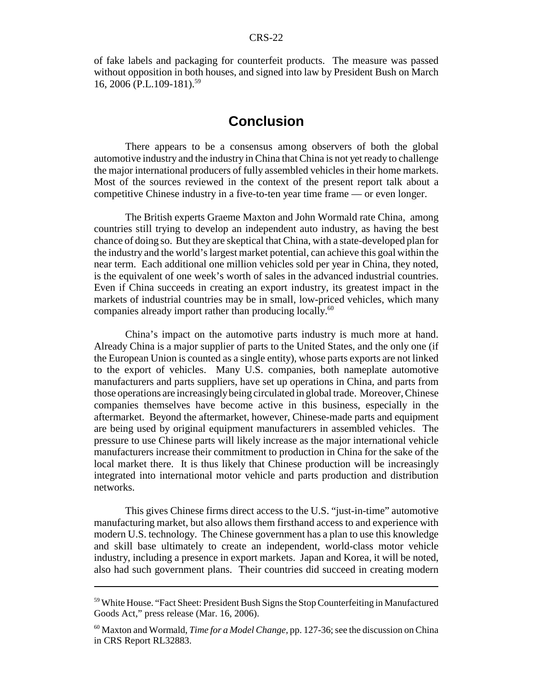of fake labels and packaging for counterfeit products. The measure was passed without opposition in both houses, and signed into law by President Bush on March 16, 2006 (P.L.109-181).<sup>59</sup>

# **Conclusion**

There appears to be a consensus among observers of both the global automotive industry and the industry in China that China is not yet ready to challenge the major international producers of fully assembled vehicles in their home markets. Most of the sources reviewed in the context of the present report talk about a competitive Chinese industry in a five-to-ten year time frame — or even longer.

The British experts Graeme Maxton and John Wormald rate China, among countries still trying to develop an independent auto industry, as having the best chance of doing so. But they are skeptical that China, with a state-developed plan for the industry and the world's largest market potential, can achieve this goal within the near term. Each additional one million vehicles sold per year in China, they noted, is the equivalent of one week's worth of sales in the advanced industrial countries. Even if China succeeds in creating an export industry, its greatest impact in the markets of industrial countries may be in small, low-priced vehicles, which many companies already import rather than producing locally.<sup>60</sup>

China's impact on the automotive parts industry is much more at hand. Already China is a major supplier of parts to the United States, and the only one (if the European Union is counted as a single entity), whose parts exports are not linked to the export of vehicles. Many U.S. companies, both nameplate automotive manufacturers and parts suppliers, have set up operations in China, and parts from those operations are increasingly being circulated in global trade. Moreover, Chinese companies themselves have become active in this business, especially in the aftermarket. Beyond the aftermarket, however, Chinese-made parts and equipment are being used by original equipment manufacturers in assembled vehicles. The pressure to use Chinese parts will likely increase as the major international vehicle manufacturers increase their commitment to production in China for the sake of the local market there. It is thus likely that Chinese production will be increasingly integrated into international motor vehicle and parts production and distribution networks.

This gives Chinese firms direct access to the U.S. "just-in-time" automotive manufacturing market, but also allows them firsthand access to and experience with modern U.S. technology. The Chinese government has a plan to use this knowledge and skill base ultimately to create an independent, world-class motor vehicle industry, including a presence in export markets. Japan and Korea, it will be noted, also had such government plans. Their countries did succeed in creating modern

<sup>59</sup> White House. "Fact Sheet: President Bush Signs the Stop Counterfeiting in Manufactured Goods Act," press release (Mar. 16, 2006).

<sup>60</sup> Maxton and Wormald, *Time for a Model Change*, pp. 127-36; see the discussion on China in CRS Report RL32883.